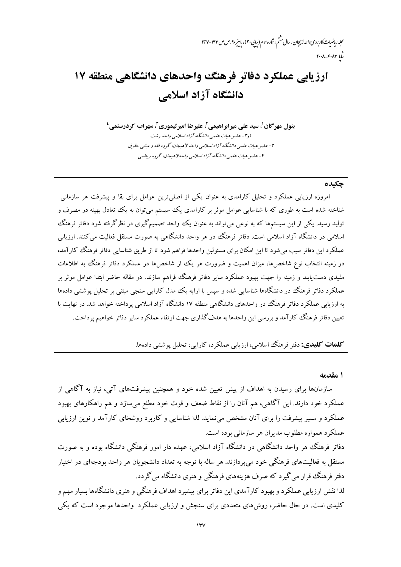# ارزیابی عملکرد دفاتر فرهنگ واحدهای دانشگاهی منطقه ۱۷ دانشگاه آزاد اسلامی

بتول مهرگان'، سید علی میرابراهیمی'، علیرضا امیر تیموری''، سهراب کردرستمی' ا و ۳- عضو هیات علمی دانشگاه آزاد اسلامی واحد رشت ۲- عضو هيات علمي دانشگاه آزاد اسلامي واحد لاهيجان، گروه فقه و مباني حقوق ۴- عضو هيات علمي دانشگاه آزاد اسلامي واحدلاهيعجان، گروه رياضي

#### جكيده

امروزه ارزیابی عملکرد و تحلیل کارامدی به عنوان یکی از اصلی ترین عوامل برای بقا و پیشرفت هر سازمانی شناخته شده است به طوری که با شناسایی عوامل موثر بر کارامدی یک سیستم می توان به یک تعادل بهینه در مصرف و .<br>تولید رسید. یکی از این سیستمها که به نوعی می تواند به عنوان یک واحد تصمیم گیری در نظر گرفته شود دفاتر فرهنگ اسلامی در دانشگاه آزاد اسلامی است. دفاتر فرهنگ در هر واحد دانشگاهی به صورت مستقل فعالیت می کنند. ارزیابی عملکرد این دفاتر سبب می شود تا این امکان برای مسئولین واحدها فراهم شود تا از طریق شناسایی دفاتر فرهنگ کارآمد، در زمینه انتخاب نوع شاخصها، میزان اهمیت و ضرورت هر یک از شاخصها در عملکرد دفاتر فرهنگ به اطلاعات مفیدی دست یابند و زمینه را جهت بهبود عملکرد سایر دفاتر فرهنگ فراهم سازند. در مقاله حاضر ابتدا عوامل موثر بر عملکرد دفاتر فرهنگ در دانشگاهها شناسایی شده و سپس با ارایه یک مدل کارایی سنجی مبتنی بر تحلیل پوششی دادهها به ارزیابی عملکرد دفاتر فرهنگ در واحدهای دانشگاهی منطقه ۱۷ دانشگاه آزاد اسلامی پرداخته خواهد شد. در نهایت با تعببن دفاتر فرهنگ کارآمد و بررسی این واحدها به هدف گذاری جهت ارتقاء عملکرد سایر دفاتر خواهیم پرداخت.

**کلمات کلیدی:** دفتر فرهنگ اسلامی، ارزیابی عملکرد، کارایی، تحلیل پوششی دادهها.

#### ۱ مقدمه

سازمانها برای رسیدن به اهداف از پیش تعیین شده خود و همچنین پیشرفتهای آتی، نیاز به آگاهی از عملکرد خود دارند. این آگاهی، هم آنان را از نقاط ضعف و قوت خود مطلع میسازد و هم راهکارهای بهبود عملکرد و مسیر پیشرفت را برای آنان مشخص می نماید. لذا شناسایی و کاربرد روشخای کارآمد و نوین ارزیابی عملکرد همواره مطلوب مديران هر سازماني بوده است.

دفاتر فرهنگ هر واحد دانشگاهی در دانشگاه آزاد اسلامی، عهده دار امور فرهنگی دانشگاه بوده و به صورت مستقل به فعالیتهای فرهنگی خود می پردازند. هر ساله با توجه به تعداد دانشجویان هر واحد بودجهای در اختیار دفتر فرهنگ قرار می گیرد که صرف هزینههای فرهنگی و هنری دانشگاه می گردد. لذا نقش ارزیابی عملکرد و بهبود کارآمدی این دفاتر برای پیشبرد اهداف فرهنگی و هنری دانشگاهها بسیار مهم و کلیدی است. در حال حاضر، روشهای متعددی برای سنجش و ارزیابی عملکرد ۖ واحدها موجود است که یکی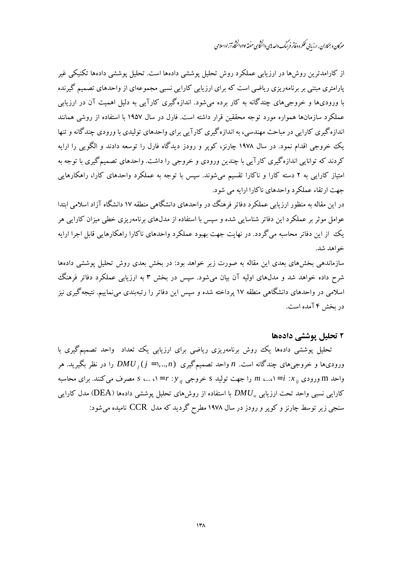مهرگان و بمکاران ،ارزبانی عملکر د دفاتر فرسک واصدای دانشخایی منفقه ۱۷ دانشگاه آزاد اسلامی

از کارامدترین روش ها در ارزبابی عملکرد روش تحلیل پوششی دادهها است. تحلیل پوششی دادهها تکنیکی غیر یارامتری مبتنی بر برنامهریزی ریاضی است که برای ارزیابی کارایی نسبی مجموعهای از واحدهای تصمیم گیرنده با ورودیها و خروجههای چندگانه به کار برده می شود. اندازهگیری کارآیی به دلیل اهمیت آن در ارزیابی عملکرد سازمانها همواره مورد توجه محققین قرار داشته است. فارل در سال ۱۹۵۷ با استفاده از روشی همانند اندازه گیری کارایی در مباحث مهندسی، به اندازهگیری کارآیی برای واحدهای تولیدی با ورودی چندگانه و تنها یک خروجی اقدام نمود. در سال ۱۹۷۸ چارنز، کویر و رودز دیدگاه فارل را توسعه دادند و الگویی را ارایه کردند که توانایی اندازهگیری کارآیی با چندین ورودی و خروجی را داشت. واحدهای تصمیمگیری با توجه به امتیاز کارایی به ۲ دسته کارا و ناکارا تقسیم میشوند. سپس با توجه به عملکرد واحدهای کارا، راهکارهایی جهت ارتقاء عملکر د واحدهای ناکارا ارایه می شود.

در این مقاله به منظور ارزیابی عملکرد دفاتر فرهنگ در واحدهای دانشگاهی منطقه ۱۷ دانشگاه آزاد اسلامی ابتدا عوامل موثر بر عملکرد این دفاتر شناسایی شده و سپس با استفاده از مدل۵ای برنامهریزی خطی میزان کارایی هر یک از این دفاتر محاسبه می گردد. در نهایت جهت بهبود عملکرد واحدهای ناکارا راهکارهایی قابل اجرا ارایه خواهد شد.

سازماندهی بخشهای بعدی این مقاله به صورت زیر خواهد بود: در بخش بعدی روش تحلیل پوششی دادهها شرح داده خواهد شد و مدلهای اولیه آن بیان میشود. سپس در بخش ۳ به ارزیابی عملکرد دفاتر فرهنگ اسلامی در واحدهای دانشگاهی منطقه ۱۷ پرداخته شده و سپس این دفاتر را رتبهبندی می نماییم. نتیجه گیری نیز در بخش ۴ آمده است.

## ۲ تحلیل پوششی دادهها

تحلیل پوششی دادهها یک روش برنامهریزی ریاضی برای ارزیابی یک تعداد واحد تصمیمگیری با ورودی،ها و خروجی،های چندگانه است. n واحد تصمیمگیری  $DU_{\;i}\,(j=),..,n)$  را در نظر بگیرید. هر واحد m ورودی ;; x : / = / ....، m را جهت تولید s خروجی ;; y = / ، ...، s مصرف می کنند. برای محاسبه کارایی نسبی واحد تحت ارزیابی  $DMU$  با استفاده از روشهای تحلیل پوششی دادهها (DEA) مدل کارایی سنجی زیر توسط چارنز و کوپر و رودز در سال ۱۹۷۸ مطرح گردید که مدل CCR نامیده می شود: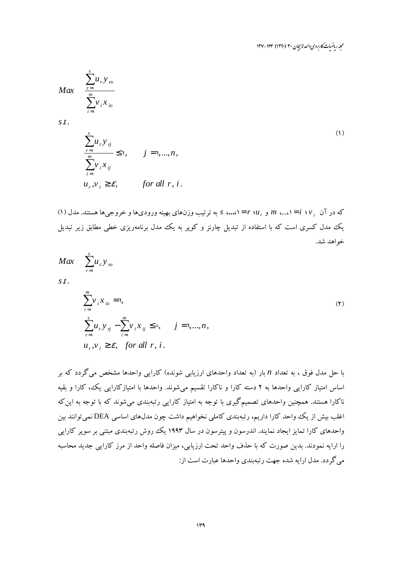مجله ریاضیات کاربردی واحد لاسچان ۳۰ (۱۳۹۰) ۱۴۴-۱۳۷

$$
Max \quad \frac{\sum_{r=1}^{s} u_r y_{r0}}{\sum_{i=1}^{m} v_i x_{io}}
$$

 $S_t$ 

$$
\sum_{\substack{r=1 \ n \text{ odd}}}^{s} u_r y_{rj} \leq 1, \qquad j = 1, \dots, n,
$$
\n
$$
\sum_{i=1}^{m} v_i x_{ij} \leq \varepsilon, \qquad \text{for all } r, i.
$$
\n
$$
(1)
$$

(١) (٢٠ (٢٠ ) = ١....، m و ....، = ١ ،...،، 5 به ترتيب وزنهاى بهينه ورودىها و خروجي ها هستند. مدل (١) یک مدل کسری است که با استفاده از تبدیل چارنز و کویر به یک مدل برنامهریزی خطی مطابق زیر تبدیل خواهد شد.

$$
Max \sum_{r=1}^{s} u_r y_m
$$
  

$$
s.t. \qquad \qquad s.t.
$$

$$
\sum_{i=1}^{m} v_i x_{io} = 1,
$$
\n
$$
\sum_{r=1}^{s} u_r y_{rj} - \sum_{i=1}^{m} v_i x_{ij} \leq 0, \quad j = 1, ..., n,
$$
\n
$$
u_r, v_i \geq \varepsilon, \quad \text{for all } r, i.
$$
\n(7)

با حل مدل فوق ، به تعداد n بار (به تعداد واحدهای ارزیابی شونده) کارایی واحدها مشخص میگردد که بر اساس امتیاز کارایی واحدها به ۲ دسته کارا و ناکارا تقسیم می شوند. واحدها با امتیازکارایی یک، کارا و بقیه ناکارا هستند. همچنین واحدهای تصمیمگیری با توجه به امتیاز کارایی رتبهبندی می شوند که با توجه به این که اغلب بیش از یک واحد کارا داریم، رتبهبندی کاملی نخواهیم داشت چون مدلهای اساسی DEA نمی توانند بین واحدهای کارا تمایز ایجاد نمایند. اندرسون و پیترسون در سال ۱۹۹۳ یک روش رتبهبندی مبتنی بر سوپر کارایی را ارايه نمودند. بدين صورت كه با حذف واحد تحت ارزيابي، ميزان فاصله واحد از مرز كارايي جديد محاسبه می گردد. مدل ارایه شده جهت رتبهبندی واحدها عبارت است از: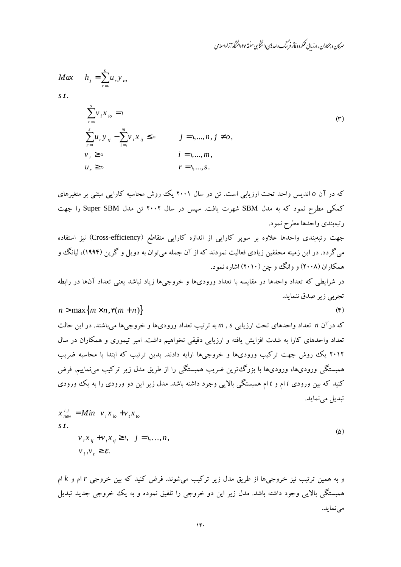مهرگان و بمکاران ،ارزبانی عملکر د دفاتر فرسک واصدای دانشخایی منفقه ۱۷ دانشگاه آزاد اسلامی

 $(F)$ 

$$
Max \t h_j = \sum_{r=1}^s u_r y_n
$$

 $S_t$ .

$$
\sum_{r=1}^{s} \nu_i x_{io} = 1
$$
\n
$$
\sum_{r=1}^{s} u_r y_{rj} - \sum_{i=1}^{m} \nu_i x_{ij} \leq \circ \qquad j = 1, ..., n, j \neq o,
$$
\n
$$
\nu_i \geq \circ \qquad i = 1, ..., m,
$$
\n
$$
\nu_r \geq \circ \qquad r = 1, ..., s.
$$
\n(4)

که در آن 0 اندیس واحد تحت ارزیابی است. تن در سال ۲۰۰۱ یک روش محاسبه کارایی مبتنی بر متغیرهای کمکی مطرح نمود که به مدل SBM شهرت یافت. سپس در سال ۲۰۰۲ تن مدل Super SBM را جهت رتبهبندي واحدها مطرح نمود.

جهت رتبهبندی واحدها علاوه بر سوپر کارایی از اندازه کارایی متقاطع (Cross-efficiency) نیز استفاده می گردد. در این زمینه محققین زیادی فعالیت نمودند که از آن جمله می توان به دویل و گرین (۱۹۹۴)، لیانگ و همکاران (۲۰۰۸) و وانگ و چن (۲۰۱۰) اشاره نمود.

در شرایطی که تعداد واحدها در مقایسه با تعداد ورودیها و خروجیها زیاد نباشد یعنی تعداد آنها در رابطه تجربي زير صدق ننمايد.

$$
n > \max\{m \times n, \mathfrak{r}(m+n)\}
$$

که در آن n تعداد واحدهای تحت ارزیابی n , s به ترتیب تعداد ورودیها و خروجیها میباشند. در این حالت تعداد واحدهای کارا به شدت افزایش یافته و ارزیابی دقیقی نخواهیم داشت. امیر تیموری و همکاران در سال ۲۰۱۲ یک روش جهت ترکیب ورودیها و خروجیها ارایه دادند. بدین ترتیب که ابتدا با محاسبه ضریب همبستگی ورودیها، ورودیها با بزرگءترین ضریب همبستگی را از طریق مدل زیر ترکیب می نماییم. فرض کنید که بین ورودی i ام و t ام همبستگی بالایی وجود داشته باشد. مدل زیر این دو ورودی را به یک ورودی تبديل مي نمايد.

$$
x_{new}^{i,j} = Min \quad v_i x_{io} + v_i x_{to}
$$
  
s.t.  

$$
v_i x_{ij} + v_i x_{ij} \ge 1, \quad j = 1,...,n,
$$

$$
v_j, v_j \ge \varepsilon.
$$
 (2)

و به همین ترتیب نیز خروجیها از طریق مدل زیر ترکیب می شوند. فرض کنید که بین خروجی r ام و k ام همبستگی بالایی وجود داشته باشد. مدل زیر این دو خروجی را تلفیق نموده و به یک خروجی جدید تبدیل مى نمايد.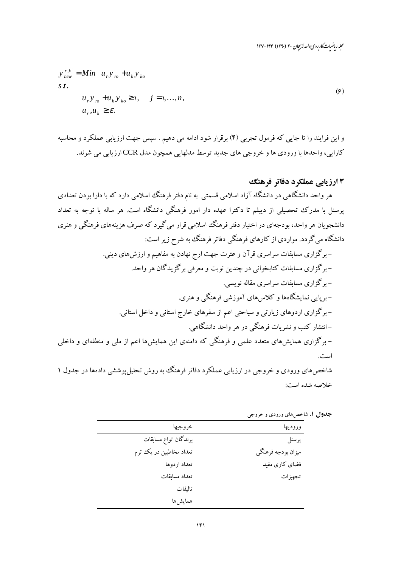محله رماضات کاربردی واحد لاسچان ۳۰ (۱۳۹۰) ۱۳۴-۱۳۷

$$
y_{new}^{r,k} = Min \t u_r y_m + u_k y_{ko}
$$
  
\n
$$
s t.
$$
  
\n
$$
u_r y_m + u_k y_{ko} \ge 1, \t j = 1,...,n,
$$
  
\n
$$
u_r, u_k \ge \varepsilon.
$$
  
\n(9)

و این فرایند را تا جایی که فرمول تجربی (۴) برقرار شود ادامه می دهیم . سپس جهت ارزیابی عملکرد و محاسبه كارايي، واحدها با ورودي ها و خروجي هاي جديد توسط مدلهايي همچون مدل CCR ارزيابي مي شوند.

## ۱۳رزیابی عملکرد دفاتر فرهنگ

هر واحد دانشگاهی در دانشگاه آزاد اسلامی قسمتی به نام دفتر فرهنگ اسلامی دارد که با دارا بودن تعدادی یرسنل با مدرک تحصیلی از دبیلم تا دکترا عهده دار امور فرهنگی دانشگاه است. هر ساله با توجه به تعداد دانشجو بان هر واحد، بو دجهای در اختبار دفتر فرهنگ اسلامی قرار می گیرد که صرف هزینههای فرهنگی و هنری دانشگاه می گردد. مواردی از کارهای فرهنگی دفاتر فرهنگ به شرح زیر است: – برگزاری مسابقات سراسری قر آن و عترت جهت ارج نهادن به مفاهیم و ارزش های دینی. - برگزاری مسابقات کتابخوانی در چندین نوبت و معرفی برگزیدگان هر واحد. – برگزاری مسابقات سراسری مقاله نویسی. – برپایی نمایشگاهها و کلاسهای آموزشی فرهنگی و هنری. – برگزاری اردوهای زیارتی و سیاحتی اعم از سفرهای خارج استانی و داخل استانی. –انتشار کتب و نشریات فرهنگی در هر واحد دانشگاهی. – برگزاری همایشهای متعدد علمی و فرهنگی که دامنهی این همایشها اعم از ملی و منطقهای و داخلی است. شاخص های ورودی و خروجی در ارزیابی عملکرد دفاتر فرهنگ به روش تحلیل یوششی دادهها در جدول ۱

خلاصه شده است:

| وروديها            | خروجيها                 |
|--------------------|-------------------------|
| پرسنل              | برندگان انواع مسابقات   |
| میزان بودجه فرهنگی | تعداد مخاطبین در یک ترم |
| فضای کاری مفید     | تعداد اردوها            |
| تجهيزات            | تعداد مسابقات           |
|                    | تاليفات                 |
|                    | همايشها                 |
|                    |                         |

**جدول ۱.** شاخصهای ورودی و خروجی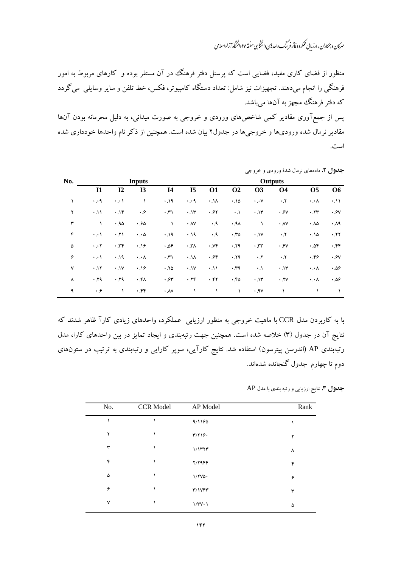مهرکان و بمکاران، ارزیابی عُلکر د دفاتر فرسک واحد پی دانْتُخاسی منفقه ۱۷ دانْتُخاء آزاد اسلامی > -

منظور از فضای کاری مفید، فضایی است که پرسنل دفتر فرهنگ در آن مستقر بوده و کارهای مربوط به امور فرهنگی را انجام میدهند. تجهیزات نیز شامل: تعداد دستگاه کامپیوتر، فکس، خط تلفن و سایر وسایلی میگردد که دفتر فرهنگ مجهز به آنها میباشد.

پس از جمعآوری مقادیر کمی شاخصهای ورودی و خروجی به صورت میدانی، به دلیل محرمانه بودن آنها مقادیر نرمال شده ورودیها و خروجیها در جدول۲ بیان شده است. همچنین از ذکر نام واحدها خودداری شده است.

| No.          | <b>Inputs</b>               |                   |                      |                         | Outputs         |                |                 |                     |                   |                       |                   |
|--------------|-----------------------------|-------------------|----------------------|-------------------------|-----------------|----------------|-----------------|---------------------|-------------------|-----------------------|-------------------|
|              | 11                          | $\mathbf{I}2$     | I3                   | <b>I4</b>               | I <sub>5</sub>  | <b>O1</b>      | <b>O2</b>       | <b>O3</b>           | <b>O4</b>         | <b>O5</b>             | <b>O6</b>         |
|              | $\cdot \cdot$ 9             | $\cdot$ . $\cdot$ |                      | .19                     | $\cdot \cdot$ ٩ | $.1\lambda$    | .10             | $\cdot \cdot \cdot$ | $\cdot$ . $\cdot$ | $\cdot \cdot \wedge$  | .11               |
| ۲            | $\cdot$ . \ \               | .19               | $\cdot$ . $\hat{z}$  | $\cdot$ , $\uparrow$ )  | .11             | .94            | $\cdot \cdot$   | .11                 | .9V               | .77                   | .9V               |
| ٣            |                             | .90               | .90                  | $\mathcal{L}$           | $\cdot$ AV      | $\cdot$ .9     | .9 <sub>A</sub> |                     | $\cdot$ AV        | $\cdot \Delta \Delta$ | $\cdot \lambda$ ٩ |
| ۴            | $\cdot$ . $\cdot$           | .11               | $\cdot \cdot \circ$  | .19                     | .19             | $\cdot$ .9     | .70             | .1V                 | $\cdot$ . $\cdot$ | .10                   | .11               |
| ۵            | $\cdot \cdot \cdot$ $\cdot$ | .79               | .19                  | .09                     | $\cdot$ , and   | $\cdot$ . $Vf$ | .79             | $\cdot$ $rr$        | $\cdot$ .۴۷       | ۰.۵۴                  | .55               |
| ۶            | $\cdot$ . $\cdot$           | .19               | $\cdot \cdot \wedge$ | $\cdot$ , $\uparrow$    | $\cdot \Lambda$ | .96            | .79             | $\cdot$ . Y         | $\cdot$ . $\cdot$ | .69                   | .9V               |
| $\mathsf{v}$ | .11                         | .1V               | .19                  | .70                     | .1V             | .11            | .79             | $\cdot \cdot$       | .11               | $\cdot \cdot \wedge$  | ۵۶. ۰             |
| ٨            | .79                         | .19               | ۰۴۸                  | .94                     | .79             | .57            | .60             | .15                 | .7V               | ۰.۰۸                  | ۵۶. ۰             |
| ٩            | $\cdot$ . $\hat{r}$         |                   | ۴۴۰.                 | $\cdot \lambda \lambda$ |                 |                | ١               | .9V                 |                   |                       |                   |

**جدول ۲.** دادههای نرمال شدهٔ ورودی و خروجی

ا به کاربردن مدل CCR با ماهیت خروجی به منظور ارزیابی عملکرد، واحدهای زیادی کارآ ظاهر شدند که ! نتایج آن در جدول (۳) خلاصه شده است. همچنین جهت رتبهبندی و ایجاد تمایز در بین واحدهای کارا، مدل رتبهبندی AP (اندرسن پیترسون) استفاده شد. نتایج کارآیی، سوپر کارایی و رتبهبندی به ترتیب در ستونهای دوم تا چهارم جدول گنجانده شدهاند.

**جدول ۳.** نتایج ارزیابی و رتبه بندی با مدل AP

| No. | <b>CCR Model</b> | AP Model               | Rank |
|-----|------------------|------------------------|------|
|     |                  | 9/1190                 |      |
| ۲   |                  | T/T19.                 | ۲    |
| ٣   |                  | $1/1$ ۳۲۳              | ٨    |
| ۴   |                  | $Y/Y$ ۹۴۴              | ۴    |
| ۵   |                  | $1/7V\Delta$           | ۶    |
| ۶   |                  | T/1 VFT                | ٣    |
| ٧   |                  | $1/\Upsilon V \cdot 1$ | ۵    |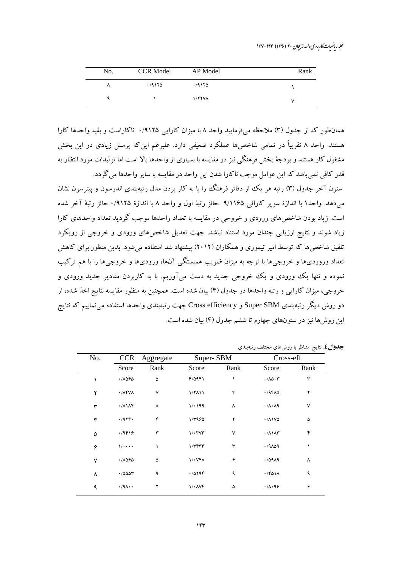محله رماضات کاربردی واحد لاسچان ۳۰ (۱۳۹۰) ۱۳۴-۱۳۷

| No. | <b>CCR Model</b> | AP Model      | Rank |
|-----|------------------|---------------|------|
| л   | .79170           | 4180          |      |
|     |                  | <b>1/77VA</b> |      |

همان طور که از جدول (۳) ملاحظه می فرمایید واحد ۸ با میزان کارایی ۱٬۹۱۲۵ ناکاراست و بقیه واحدها کارا هستند. واحد ۸ تقریباً در تمامی شاخصها عملکرد ضعیفی دارد. علیرغم این که پرسنل زیادی در این بخش مشغول کار هستند و بودجهٔ بخش فرهنگی نیز در مقایسه با بسیاری از واحدها بالا است اما تولیدات مورد انتظار به قدر كافي نمي باشد كه اين عوامل موجب ناكارا شدن اين واحد در مقايسه با ساير واحدها مي گردد.

ستون آخر جدول (۳) رتبه هر یک از دفاتر فرهنگ را با به کار بردن مدل رتبهبندی اندرسون و پیترسون نشان مي دهد. واحدًا با اندازة سوير كارائي ٩/١١۶۵ حائز رتبة اول و واحد ٨ با اندازة ٩١٢٥/٠ حائز رتبة آخر شده است. زیاد بودن شاخصهای ورودی و خروجی در مقایسه با تعداد واحدها موجب گردید تعداد واحدهای کارا زیاد شوند و نتایج ارزیابی چندان مورد استناد نباشد. جهت تعدیل شاخصهای ورودی و خروجی از رویکرد تلفیق شاخص ها که توسط امیر تیموری و همکاران (۲۰۱۲) پیشنهاد شد استفاده می شود. بدین منظور برای کاهش تعداد وروردیها و خروجیها با توجه به میزان ضریب همبستگی آنها، ورودیها و خروجیها را با هم ترکیب نموده و تنها یک ورودی و یک خروجی جدید به دست میآوریم. با به کاربردن مقادیر جدید ورودی و خروجي، ميزان كارايي و رتبه واحدها در جدول (۴) بيان شده است. همچنين به منظور مقايسه نتايج اخذ شده، از دو روش دیگر رتبهبندی Super SBM و Cross efficiency جهت رتبهبندی واحدها استفاده می نماییم که نتایج این روشها نیز در ستونهای چهارم تا ششم جدول (۴) بیان شده است.

| No. | <b>CCR</b>                           | Aggregate | Super-SBM             |      | Cross-eff                         |      |
|-----|--------------------------------------|-----------|-----------------------|------|-----------------------------------|------|
|     | Score                                | Rank      | Score                 | Rank | Score                             | Rank |
|     | $\cdot$ /1060                        | ۵         | $F/\Delta P$          |      | $\cdot/\lambda\Delta\cdot\tau$    | ٣    |
| ۲   | $\cdot$ / $\Lambda$ FV $\Lambda$     | ٧         | $1/7$ $11$            | ۴    | .79FAA                            | ۲    |
| ٣   | $\cdot$ / $\wedge$ $\wedge$ $\wedge$ | ٨         | 1/199                 | ٨    | $\cdot/\lambda \cdot \lambda$ 9   | ٧    |
| ۴   | .484.                                | ۴         | 1/496                 | ۲    | $\cdot$ / $\wedge$ $\vee$ $\circ$ | ۵    |
| ۵   | .79819                               | ٣         | $1/\cdot$ rvr         | ٧    | $\cdot/\lambda$ \ $\lambda$ ۳     | ۴    |
| ۶   | $1/$                                 |           | $1/\tau$ F $\tau\tau$ | ٣    | .79109                            | ١    |
| ٧   | $\cdot$ /1060                        | ۵         | $1/\cdot$ YFA         | ۶    | .70919                            | ٨    |
| ٨   | .70007                               | ٩         | .70796                | ٩    | $\cdot$ /۴۵۱۸                     | ٩    |
| ٩   | $\cdot$ /٩ $\wedge$ .                | ۲         | 1/1                   | ۵    | $\cdot/\lambda \cdot 99$          | ۶    |

جدول ٤. نتايج متناظر با روش هاي مختلف رتبهبندي